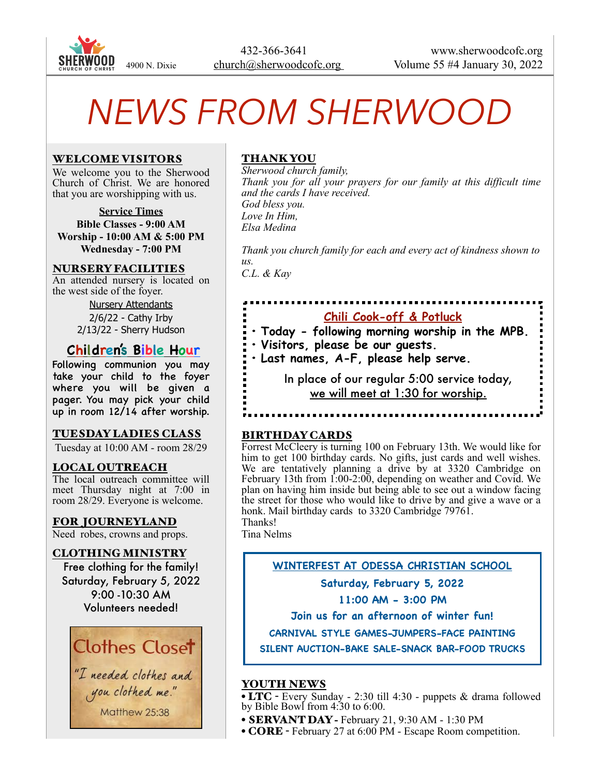

# *NEWS FROM SHERWOOD*

# WELCOME VISITORS

We welcome you to the Sherwood Church of Christ. We are honored that you are worshipping with us.

**Service Times Bible Classes - 9:00 AM Worship - 10:00 AM & 5:00 PM Wednesday - 7:00 PM**

# NURSERY FACILITIES

An attended nursery is located on the west side of the foyer.

> Nursery Attendants 2/6/22 - Cathy Irby 2/13/22 - Sherry Hudson

# **Children's Bible Hour**

Following communion you may take your child to the foyer where you will be given a pager. You may pick your child up in room 12/14 after worship.

# TUESDAY LADIES CLASS

Tuesday at 10:00 AM - room 28/29

#### LOCAL OUTREACH

The local outreach committee will meet Thursday night at 7:00 in room 28/29. Everyone is welcome.

# FOR JOURNEYLAND

Need robes, crowns and props.

#### CLOTHING MINISTRY

Free clothing for the family! Saturday, February 5, 2022 9:00 -10:30 AM Volunteers needed!



"I needed clothes and you clothed me." Matthew 25:38

# THANK YOU

*Sherwood church family, Thank you for all your prayers for our family at this difficult time and the cards I have received. God bless you. Love In Him, Elsa Medina*

*Thank you church family for each and every act of kindness shown to us. C.L. & Kay* 

# **Chili Cook-off & Potluck**

- **• Today following morning worship in the MPB.**
- **• Visitors, please be our guests.**
- **• Last names, A-F, please help serve.**

 In place of our regular 5:00 service today, we will meet at 1:30 for worship.

#### BIRTHDAY CARDS

Forrest McCleery is turning 100 on February 13th. We would like for him to get 100 birthday cards. No gifts, just cards and well wishes. We are tentatively planning a drive by at 3320 Cambridge on February 13th from 1:00-2:00, depending on weather and Covid. We plan on having him inside but being able to see out a window facing the street for those who would like to drive by and give a wave or a honk. Mail birthday cards to 3320 Cambridge 79761. Thanks!

Tina Nelms

# **WINTERFEST AT ODESSA CHRISTIAN SCHOOL**

**Saturday, February 5, 2022**

# **11:00 AM - 3:00 PM**

**Join us for an afternoon of winter fun!**

**CARNIVAL STYLE GAMES-JUMPERS-FACE PAINTING**

**SILENT AUCTION-BAKE SALE-SNACK BAR-FOOD TRUCKS**

# YOUTH NEWS

• LTC - Every Sunday - 2:30 till 4:30 - puppets & drama followed by Bible Bowl from 4:30 to 6:00.

- SERVANT DAY February 21, 9:30 AM 1:30 PM
- CORE February 27 at 6:00 PM Escape Room competition.